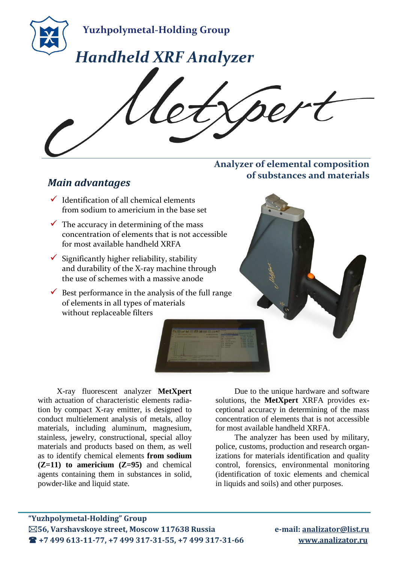

#### **Analyzer of elemental composition of substances and materials**

## *Main advantages*

- $\checkmark$  Identification of all chemical elements from sodium to americium in the base set
- $\checkmark$  The accuracy in determining of the mass concentration of elements that is not accessible for most available handheld XRFA
- $\checkmark$  Significantly higher reliability, stability and durability of the X-ray machine through the use of schemes with a massive anode
- $\checkmark$  Best performance in the analysis of the full range of elements in all types of materials without replaceable filters



X-ray fluorescent analyzer **MetXpert** with actuation of characteristic elements radiation by compact X-ray emitter, is designed to conduct multielement analysis of metals, alloy materials, including aluminum, magnesium, stainless, jewelry, constructional, special alloy materials and products based on them, as well as to identify chemical elements **from sodium (Z=11) to americium (Z=95)** and chemical agents containing them in substances in solid, powder-like and liquid state.

Due to the unique hardware and software solutions, the **MetXpert** XRFA provides exceptional accuracy in determining of the mass concentration of elements that is not accessible for most available handheld XRFA.

The analyzer has been used by military, police, customs, production and research organizations for materials identification and quality control, forensics, environmental monitoring (identification of toxic elements and chemical in liquids and soils) and other purposes.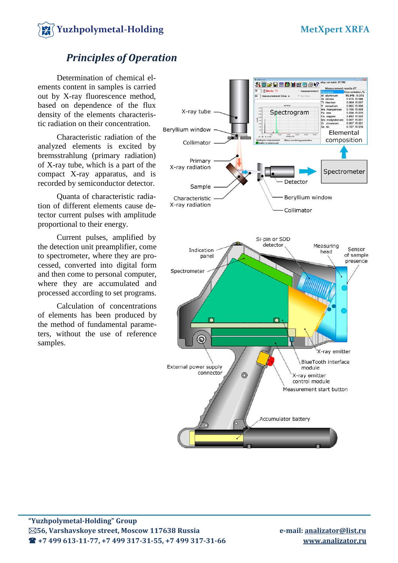

## *Principles of Operation*

Determination of chemical elements content in samples is carried out by X-ray fluorescence method, based on dependence of the flux density of the elements characteristic radiation on their concentration.

Characteristic radiation of the analyzed elements is excited by bremsstrahlung (primary radiation) of X-ray tube, which is a part of the compact X-ray apparatus, and is recorded by semiconductor detector.

Quanta of characteristic radiation of different elements cause detector current pulses with amplitude proportional to their energy.

Current pulses, amplified by the detection unit preamplifier, come to spectrometer, where they are processed, converted into digital form and then come to personal computer, where they are accumulated and processed according to set programs.

Calculation of concentrations of elements has been produced by the method of fundamental parameters, without the use of reference samples.

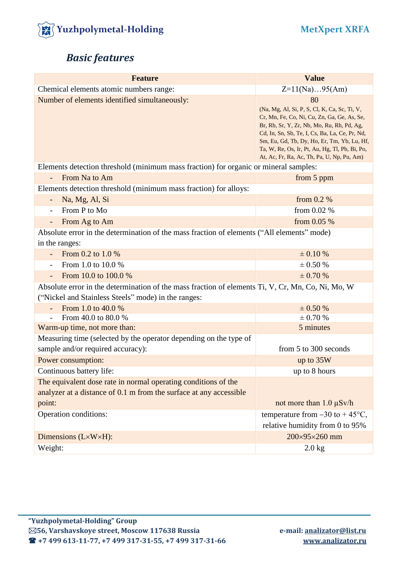

# *Basic features*

| <b>Feature</b>                                                                                                                                           | <b>Value</b>                                                                                                                                                                                                                                                                                                                                     |  |  |
|----------------------------------------------------------------------------------------------------------------------------------------------------------|--------------------------------------------------------------------------------------------------------------------------------------------------------------------------------------------------------------------------------------------------------------------------------------------------------------------------------------------------|--|--|
| Chemical elements atomic numbers range:                                                                                                                  | $Z=11(Na)95(Am)$                                                                                                                                                                                                                                                                                                                                 |  |  |
| Number of elements identified simultaneously:                                                                                                            | 80<br>(Na, Mg, Al, Si, P, S, Cl, K, Ca, Sc, Ti, V,<br>Cr, Mn, Fe, Co, Ni, Cu, Zn, Ga, Ge, As, Se,<br>Br, Rb, Sr, Y, Zr, Nb, Mo, Ru, Rh, Pd, Ag,<br>Cd, In, Sn, Sb, Te, I, Cs, Ba, La, Ce, Pr, Nd,<br>Sm, Eu, Gd, Tb, Dy, Ho, Er, Tm, Yb, Lu, Hf,<br>Ta, W, Re, Os, Ir, Pt, Au, Hg, Tl, Pb, Bi, Po,<br>At, Ac, Fr, Ra, Ac, Th, Pa, U, Np, Pu, Am) |  |  |
| Elements detection threshold (minimum mass fraction) for organic or mineral samples:                                                                     |                                                                                                                                                                                                                                                                                                                                                  |  |  |
| From Na to Am<br>$\overline{\phantom{0}}$                                                                                                                | from 5 ppm                                                                                                                                                                                                                                                                                                                                       |  |  |
| Elements detection threshold (minimum mass fraction) for alloys:                                                                                         |                                                                                                                                                                                                                                                                                                                                                  |  |  |
| Na, Mg, Al, Si                                                                                                                                           | from $0.2\%$                                                                                                                                                                                                                                                                                                                                     |  |  |
| From P to Mo<br>$\overline{\phantom{a}}$                                                                                                                 | from $0.02\%$                                                                                                                                                                                                                                                                                                                                    |  |  |
| From Ag to Am<br>$\blacksquare$                                                                                                                          | from $0.05%$                                                                                                                                                                                                                                                                                                                                     |  |  |
| Absolute error in the determination of the mass fraction of elements ("All elements" mode)<br>in the ranges:                                             |                                                                                                                                                                                                                                                                                                                                                  |  |  |
| From 0.2 to 1.0 %<br>$\overline{\phantom{a}}$                                                                                                            | $\pm 0.10 \%$                                                                                                                                                                                                                                                                                                                                    |  |  |
| From 1.0 to 10.0 %<br>$\overline{\phantom{0}}$                                                                                                           | $\pm$ 0.50 %                                                                                                                                                                                                                                                                                                                                     |  |  |
| From 10.0 to 100.0 %                                                                                                                                     | $\pm$ 0.70 %                                                                                                                                                                                                                                                                                                                                     |  |  |
| Absolute error in the determination of the mass fraction of elements Ti, V, Cr, Mn, Co, Ni, Mo, W<br>("Nickel and Stainless Steels" mode) in the ranges: |                                                                                                                                                                                                                                                                                                                                                  |  |  |
| From 1.0 to 40.0 %                                                                                                                                       | $\pm$ 0.50 %                                                                                                                                                                                                                                                                                                                                     |  |  |
| From 40.0 to 80.0 %                                                                                                                                      | $\pm$ 0.70 %                                                                                                                                                                                                                                                                                                                                     |  |  |
| Warm-up time, not more than:                                                                                                                             | 5 minutes                                                                                                                                                                                                                                                                                                                                        |  |  |
| Measuring time (selected by the operator depending on the type of                                                                                        |                                                                                                                                                                                                                                                                                                                                                  |  |  |
| sample and/or required accuracy):                                                                                                                        | from 5 to 300 seconds                                                                                                                                                                                                                                                                                                                            |  |  |
| Power consumption:                                                                                                                                       | up to 35W                                                                                                                                                                                                                                                                                                                                        |  |  |
| Continuous battery life:                                                                                                                                 | up to 8 hours                                                                                                                                                                                                                                                                                                                                    |  |  |
| The equivalent dose rate in normal operating conditions of the<br>analyzer at a distance of 0.1 m from the surface at any accessible                     |                                                                                                                                                                                                                                                                                                                                                  |  |  |
| point:                                                                                                                                                   | not more than $1.0 \mu Sv/h$                                                                                                                                                                                                                                                                                                                     |  |  |
| Operation conditions:                                                                                                                                    | temperature from $-30$ to $+45^{\circ}$ C,<br>relative humidity from 0 to 95%                                                                                                                                                                                                                                                                    |  |  |
| Dimensions (L×W×H):                                                                                                                                      | 200×95×260 mm                                                                                                                                                                                                                                                                                                                                    |  |  |
| Weight:                                                                                                                                                  | $2.0$ kg                                                                                                                                                                                                                                                                                                                                         |  |  |